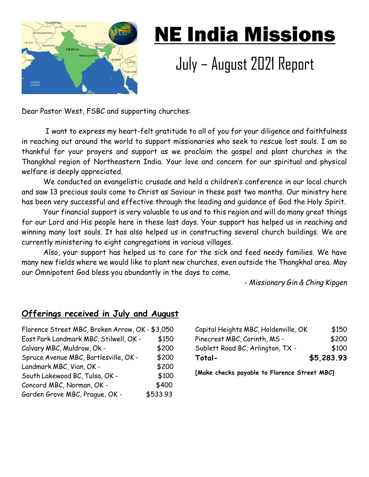

## NE India Missions

## July – August 2021 Report

Dear Pastor West, FSBC and supporting churches:

 I want to express my heart-felt gratitude to all of you for your diligence and faithfulness in reaching out around the world to support missionaries who seek to rescue lost souls. I am so thankful for your prayers and support as we proclaim the gospel and plant churches in the Thangkhal region of Northeastern India. Your love and concern for our spiritual and physical welfare is deeply appreciated.

We conducted an evangelistic crusade and held a children's conference in our local church and saw 13 precious souls come to Christ as Saviour in these past two months. Our ministry here has been very successful and effective through the leading and guidance of God the Holy Spirit.

Your financial support is very valuable to us and to this region and will do many great things for our Lord and His people here in these last days. Your support has helped us in reaching and winning many lost souls. It has also helped us in constructing several church buildings. We are currently ministering to eight congregations in various villages.

Also, your support has helped us to care for the sick and feed needy families. We have many new fields where we would like to plant new churches, even outside the Thangkhal area. May our Omnipotent God bless you abundantly in the days to come.

- *Missionary Gin & Ching Kipgen*

## **Offerings received in July and August**

| Florence Street MBC, Broken Arrow, OK - \$3,050 |          |
|-------------------------------------------------|----------|
| East Park Landmark MBC, Stilwell, OK -          | \$150    |
| Calvary MBC, Muldrow, Ok -                      | \$200    |
| Spruce Avenue MBC, Bartlesville, OK -           | \$200    |
| Landmark MBC, Vian, OK -                        | \$200    |
| South Lakewood BC, Tulsa, OK -                  | \$100    |
| Concord MBC, Norman, OK -                       | \$400    |
| Garden Grove MBC, Prague, OK -                  | \$533.93 |

| Capital Heights MBC, Holdenville, OK | \$150      |
|--------------------------------------|------------|
| Pinecrest MBC, Corinth, MS -         | \$200      |
| Sublett Road BC, Arlington, TX -     | \$100      |
| Total-                               | \$5,283.93 |

**[Make checks payable to Florence Street MBC]**